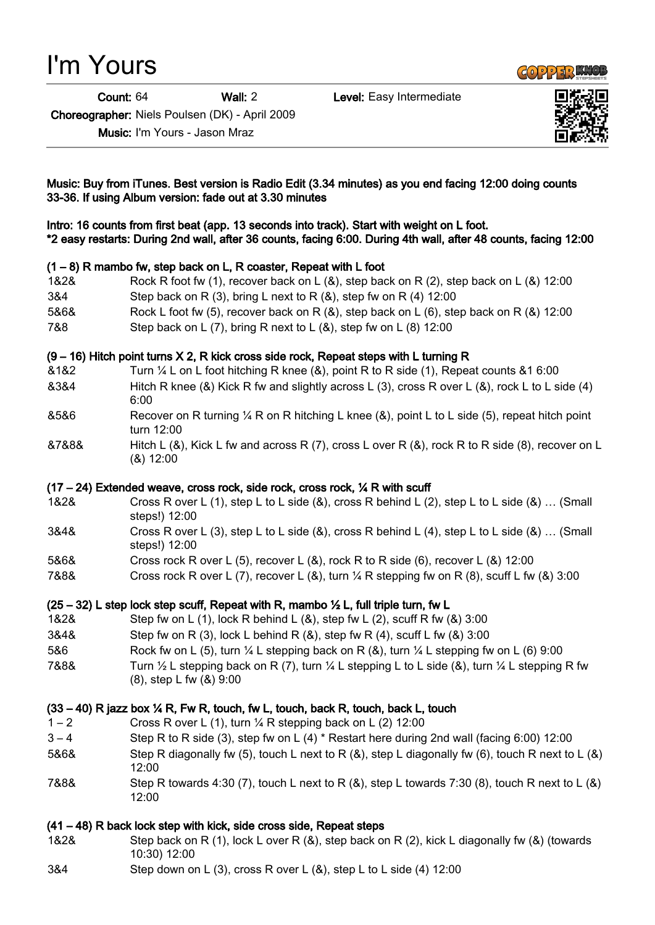# I'm Yours

Count: 64 Wall: 2 Level: Easy Intermediate

**GOPPERENCE** 

Choreographer: Niels Poulsen (DK) - April 2009

Music: I'm Yours - Jason Mraz



## Music: Buy from iTunes. Best version is Radio Edit (3.34 minutes) as you end facing 12:00 doing counts 33-36. If using Album version: fade out at 3.30 minutes

Intro: 16 counts from first beat (app. 13 seconds into track). Start with weight on L foot. \*2 easy restarts: During 2nd wall, after 36 counts, facing 6:00. During 4th wall, after 48 counts, facing 12:00

## (1 – 8) R mambo fw, step back on L, R coaster, Repeat with L foot

- 1&2& Rock R foot fw (1), recover back on L (&), step back on R (2), step back on L (&) 12:00
- 3&4 Step back on R  $(3)$ , bring L next to R  $(8)$ , step fw on R  $(4)$  12:00
- 5&6& Rock L foot fw (5), recover back on R (&), step back on L (6), step back on R (&) 12:00
- 7&8 Step back on L (7), bring R next to L (&), step fw on L (8) 12:00

#### $(9 - 16)$  Hitch point turns X 2, R kick cross side rock, Repeat steps with L turning R

- &1&2 Turn ¼ L on L foot hitching R knee (&), point R to R side (1), Repeat counts &1 6:00 &3&4 Hitch R knee (&) Kick R fw and slightly across L (3), cross R over L (&), rock L to L side (4) 6:00
- &5&6 Recover on R turning ¼ R on R hitching L knee (&), point L to L side (5), repeat hitch point turn 12:00
- &7&8& Hitch L (&), Kick L fw and across R (7), cross L over R (&), rock R to R side (8), recover on L (&) 12:00

## $(17 - 24)$  Extended weave, cross rock, side rock, cross rock,  $\frac{1}{4}$  R with scuff

- 1&2& Cross R over L (1), step L to L side (&), cross R behind L (2), step L to L side (&) … (Small steps!) 12:00
- 3&4& Cross R over L (3), step L to L side (&), cross R behind L (4), step L to L side (&) … (Small steps!) 12:00
- 5&6& Cross rock R over L (5), recover L (&), rock R to R side (6), recover L (&) 12:00
- 7&8& Cross rock R over L (7), recover L (&), turn ¼ R stepping fw on R (8), scuff L fw (&) 3:00

## $(25 - 32)$  L step lock step scuff, Repeat with R, mambo  $\frac{1}{2}$  L, full triple turn, fw L

- 1&2& Step fw on L (1), lock R behind L (&), step fw L (2), scuff R fw (&) 3:00
- 3&4& Step fw on R (3), lock L behind R (&), step fw R (4), scuff L fw (&) 3:00
- 5&6 Rock fw on L (5), turn ¼ L stepping back on R (&), turn ¼ L stepping fw on L (6) 9:00
- 7&8& Turn  $\frac{1}{2}$  L stepping back on R (7), turn  $\frac{1}{4}$  L stepping L to L side (&), turn  $\frac{1}{4}$  L stepping R fw (8), step L fw (&) 9:00

## $(33 - 40)$  R jazz box  $\frac{1}{4}$  R, Fw R, touch, fw L, touch, back R, touch, back L, touch

- $1 2$  Cross R over L (1), turn  $\frac{1}{4}$  R stepping back on L (2) 12:00
- 3 4 Step R to R side (3), step fw on L (4) \* Restart here during 2nd wall (facing 6:00) 12:00
- 5&6& Step R diagonally fw (5), touch L next to R (&), step L diagonally fw (6), touch R next to L (&) 12:00
- 7&8& Step R towards 4:30 (7), touch L next to R (&), step L towards 7:30 (8), touch R next to L (&) 12:00

## (41 – 48) R back lock step with kick, side cross side, Repeat steps

- 1&2& Step back on R (1), lock L over R (&), step back on R (2), kick L diagonally fw (&) (towards 10:30) 12:00
- 3&4 Step down on L (3), cross R over L (&), step L to L side (4) 12:00